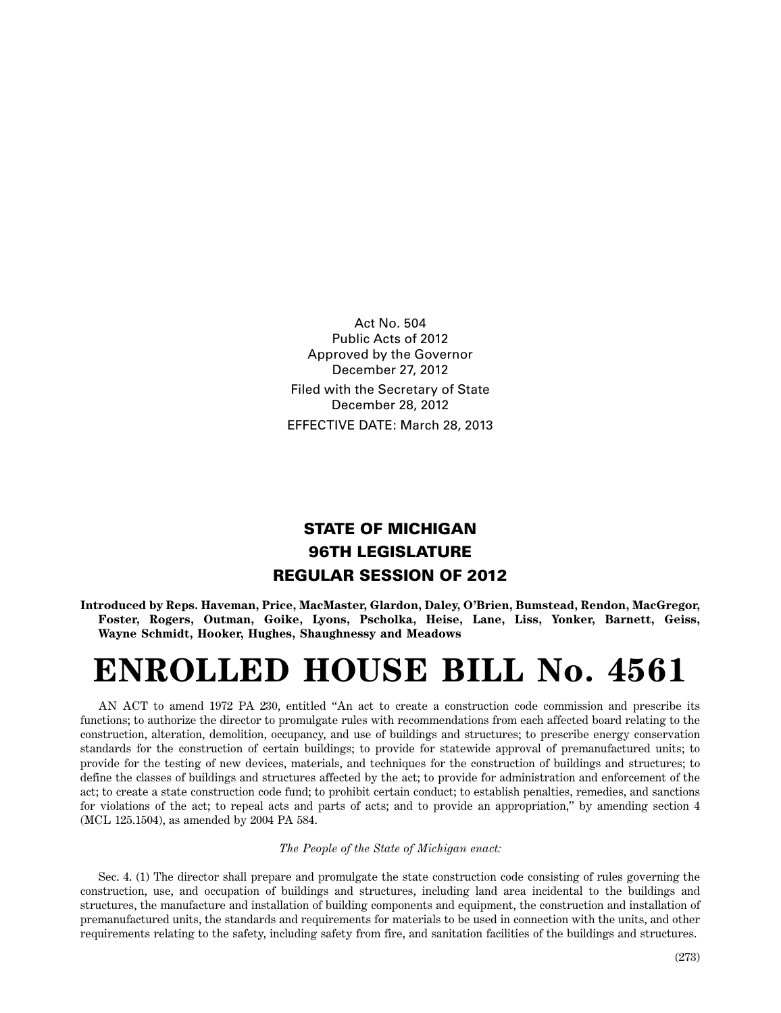Act No. 504 Public Acts of 2012 Approved by the Governor December 27, 2012 Filed with the Secretary of State December 28, 2012 EFFECTIVE DATE: March 28, 2013

## **STATE OF MICHIGAN 96TH LEGISLATURE REGULAR SESSION OF 2012**

**Introduced by Reps. Haveman, Price, MacMaster, Glardon, Daley, O'Brien, Bumstead, Rendon, MacGregor, Foster, Rogers, Outman, Goike, Lyons, Pscholka, Heise, Lane, Liss, Yonker, Barnett, Geiss, Wayne Schmidt, Hooker, Hughes, Shaughnessy and Meadows**

## **ENROLLED HOUSE BILL No. 4561**

AN ACT to amend 1972 PA 230, entitled "An act to create a construction code commission and prescribe its functions; to authorize the director to promulgate rules with recommendations from each affected board relating to the construction, alteration, demolition, occupancy, and use of buildings and structures; to prescribe energy conservation standards for the construction of certain buildings; to provide for statewide approval of premanufactured units; to provide for the testing of new devices, materials, and techniques for the construction of buildings and structures; to define the classes of buildings and structures affected by the act; to provide for administration and enforcement of the act; to create a state construction code fund; to prohibit certain conduct; to establish penalties, remedies, and sanctions for violations of the act; to repeal acts and parts of acts; and to provide an appropriation," by amending section 4 (MCL 125.1504), as amended by 2004 PA 584.

## *The People of the State of Michigan enact:*

Sec. 4. (1) The director shall prepare and promulgate the state construction code consisting of rules governing the construction, use, and occupation of buildings and structures, including land area incidental to the buildings and structures, the manufacture and installation of building components and equipment, the construction and installation of premanufactured units, the standards and requirements for materials to be used in connection with the units, and other requirements relating to the safety, including safety from fire, and sanitation facilities of the buildings and structures.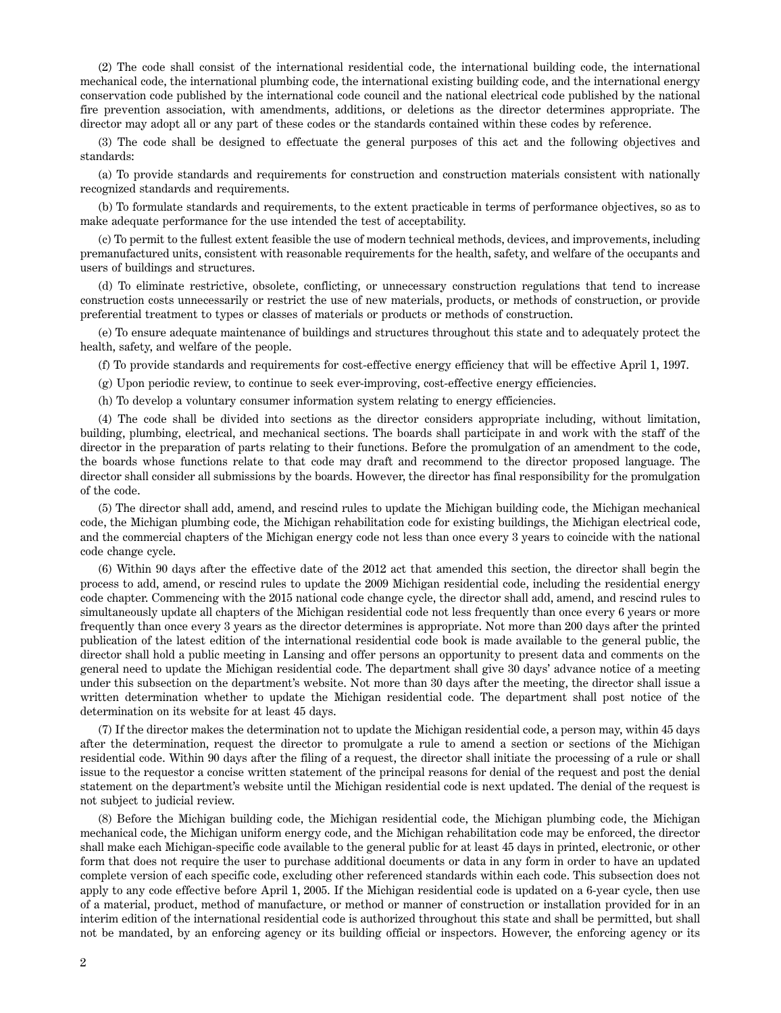(2) The code shall consist of the international residential code, the international building code, the international mechanical code, the international plumbing code, the international existing building code, and the international energy conservation code published by the international code council and the national electrical code published by the national fire prevention association, with amendments, additions, or deletions as the director determines appropriate. The director may adopt all or any part of these codes or the standards contained within these codes by reference.

(3) The code shall be designed to effectuate the general purposes of this act and the following objectives and standards:

(a) To provide standards and requirements for construction and construction materials consistent with nationally recognized standards and requirements.

(b) To formulate standards and requirements, to the extent practicable in terms of performance objectives, so as to make adequate performance for the use intended the test of acceptability.

(c) To permit to the fullest extent feasible the use of modern technical methods, devices, and improvements, including premanufactured units, consistent with reasonable requirements for the health, safety, and welfare of the occupants and users of buildings and structures.

(d) To eliminate restrictive, obsolete, conflicting, or unnecessary construction regulations that tend to increase construction costs unnecessarily or restrict the use of new materials, products, or methods of construction, or provide preferential treatment to types or classes of materials or products or methods of construction.

(e) To ensure adequate maintenance of buildings and structures throughout this state and to adequately protect the health, safety, and welfare of the people.

(f) To provide standards and requirements for cost-effective energy efficiency that will be effective April 1, 1997.

(g) Upon periodic review, to continue to seek ever-improving, cost-effective energy efficiencies.

(h) To develop a voluntary consumer information system relating to energy efficiencies.

(4) The code shall be divided into sections as the director considers appropriate including, without limitation, building, plumbing, electrical, and mechanical sections. The boards shall participate in and work with the staff of the director in the preparation of parts relating to their functions. Before the promulgation of an amendment to the code, the boards whose functions relate to that code may draft and recommend to the director proposed language. The director shall consider all submissions by the boards. However, the director has final responsibility for the promulgation of the code.

(5) The director shall add, amend, and rescind rules to update the Michigan building code, the Michigan mechanical code, the Michigan plumbing code, the Michigan rehabilitation code for existing buildings, the Michigan electrical code, and the commercial chapters of the Michigan energy code not less than once every 3 years to coincide with the national code change cycle.

(6) Within 90 days after the effective date of the 2012 act that amended this section, the director shall begin the process to add, amend, or rescind rules to update the 2009 Michigan residential code, including the residential energy code chapter. Commencing with the 2015 national code change cycle, the director shall add, amend, and rescind rules to simultaneously update all chapters of the Michigan residential code not less frequently than once every 6 years or more frequently than once every 3 years as the director determines is appropriate. Not more than 200 days after the printed publication of the latest edition of the international residential code book is made available to the general public, the director shall hold a public meeting in Lansing and offer persons an opportunity to present data and comments on the general need to update the Michigan residential code. The department shall give 30 days' advance notice of a meeting under this subsection on the department's website. Not more than 30 days after the meeting, the director shall issue a written determination whether to update the Michigan residential code. The department shall post notice of the determination on its website for at least 45 days.

(7) If the director makes the determination not to update the Michigan residential code, a person may, within 45 days after the determination, request the director to promulgate a rule to amend a section or sections of the Michigan residential code. Within 90 days after the filing of a request, the director shall initiate the processing of a rule or shall issue to the requestor a concise written statement of the principal reasons for denial of the request and post the denial statement on the department's website until the Michigan residential code is next updated. The denial of the request is not subject to judicial review.

(8) Before the Michigan building code, the Michigan residential code, the Michigan plumbing code, the Michigan mechanical code, the Michigan uniform energy code, and the Michigan rehabilitation code may be enforced, the director shall make each Michigan-specific code available to the general public for at least 45 days in printed, electronic, or other form that does not require the user to purchase additional documents or data in any form in order to have an updated complete version of each specific code, excluding other referenced standards within each code. This subsection does not apply to any code effective before April 1, 2005. If the Michigan residential code is updated on a 6-year cycle, then use of a material, product, method of manufacture, or method or manner of construction or installation provided for in an interim edition of the international residential code is authorized throughout this state and shall be permitted, but shall not be mandated, by an enforcing agency or its building official or inspectors. However, the enforcing agency or its